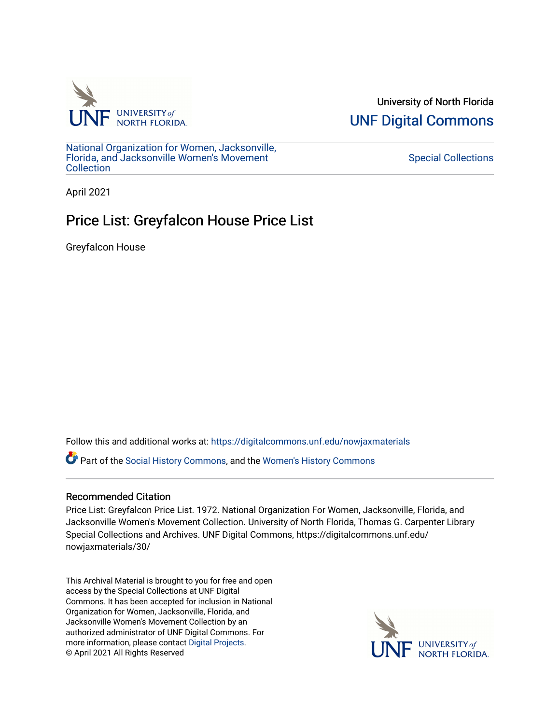

University of North Florida [UNF Digital Commons](https://digitalcommons.unf.edu/) 

[National Organization for Women, Jacksonville,](https://digitalcommons.unf.edu/nowjaxmaterials) [Florida, and Jacksonville Women's Movement](https://digitalcommons.unf.edu/nowjaxmaterials) [Collection](https://digitalcommons.unf.edu/nowjaxmaterials) 

## [Special Collections](https://digitalcommons.unf.edu/special_collections)

April 2021

## Price List: Greyfalcon House Price List

Greyfalcon House

Follow this and additional works at: [https://digitalcommons.unf.edu/nowjaxmaterials](https://digitalcommons.unf.edu/nowjaxmaterials?utm_source=digitalcommons.unf.edu%2Fnowjaxmaterials%2F30&utm_medium=PDF&utm_campaign=PDFCoverPages) 

Part of the [Social History Commons](http://network.bepress.com/hgg/discipline/506?utm_source=digitalcommons.unf.edu%2Fnowjaxmaterials%2F30&utm_medium=PDF&utm_campaign=PDFCoverPages), and the [Women's History Commons](http://network.bepress.com/hgg/discipline/507?utm_source=digitalcommons.unf.edu%2Fnowjaxmaterials%2F30&utm_medium=PDF&utm_campaign=PDFCoverPages)

## Recommended Citation

Price List: Greyfalcon Price List. 1972. National Organization For Women, Jacksonville, Florida, and Jacksonville Women's Movement Collection. University of North Florida, Thomas G. Carpenter Library Special Collections and Archives. UNF Digital Commons, https://digitalcommons.unf.edu/ nowjaxmaterials/30/

This Archival Material is brought to you for free and open access by the Special Collections at UNF Digital Commons. It has been accepted for inclusion in National Organization for Women, Jacksonville, Florida, and Jacksonville Women's Movement Collection by an authorized administrator of UNF Digital Commons. For more information, please contact [Digital Projects](mailto:lib-digital@unf.edu). © April 2021 All Rights Reserved